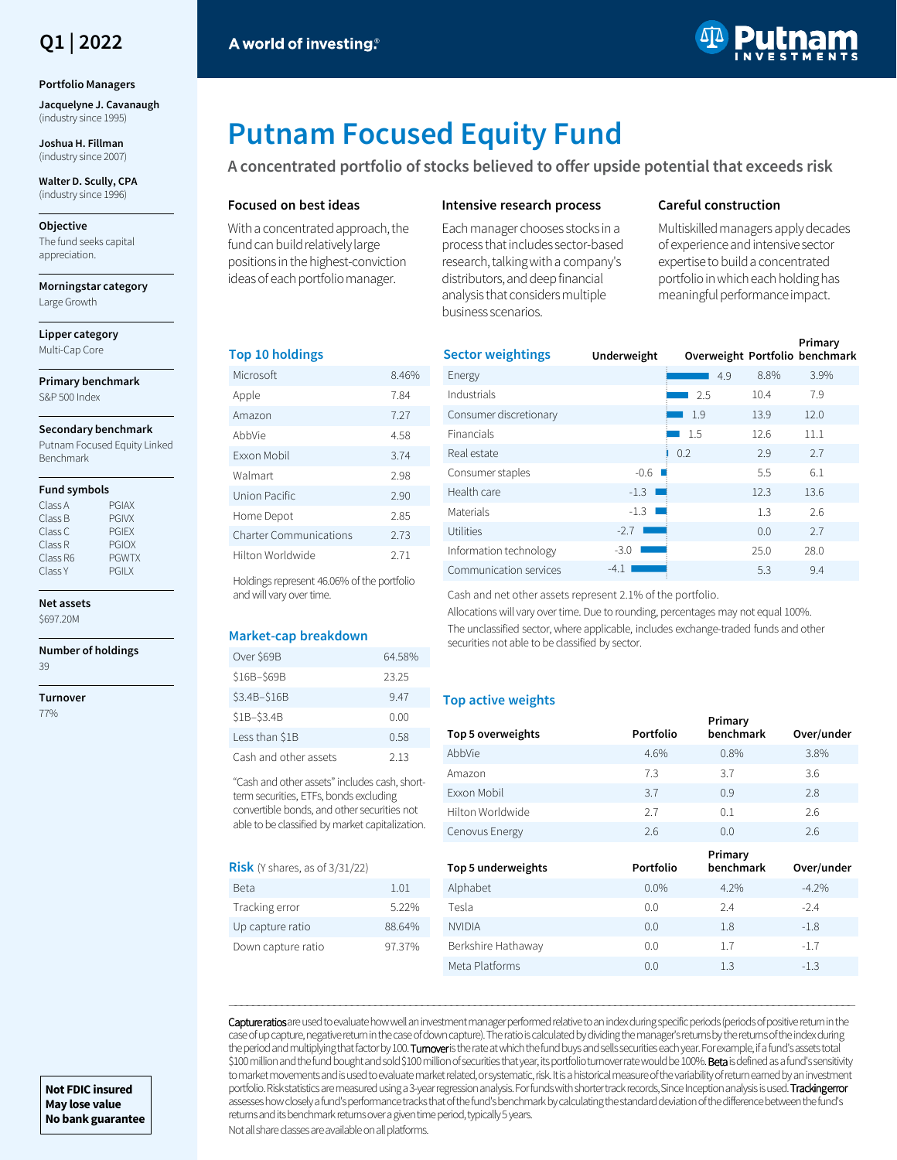## **Q1 | 2022**

#### **Portfolio Managers**

**Jacquelyne J. Cavanaugh**  (industry since 1995)

**Joshua H. Fillman**  (industry since 2007)

**Walter D. Scully, CPA**  (industry since 1996)

#### **Objective**

The fund seeks capital appreciation.

**Morningstar category** Large Growth

**Lipper category** Multi-Cap Core

**Primary benchmark** S&P 500 Index

#### **Secondary benchmark**

Putnam Focused Equity Linked Benchmark

#### **Fund symbols**

| <b>PGIAX</b> |
|--------------|
| <b>PGIVX</b> |
| <b>PGIEX</b> |
| <b>PGIOX</b> |
| <b>PGWTX</b> |
| <b>PGILX</b> |
|              |

**Net assets**

\$697.20M

**Number of holdings**

39

**Turnover** 77%



# **Putnam Focused Equity Fund**

**A concentrated portfolio of stocks believed to offer upside potential that exceeds risk**

#### **Focused on best ideas**

With a concentrated approach, the fund can build relatively large positions in the highest-conviction ideas of each portfolio manager.

#### **Intensive research process**

Each manager chooses stocks in a process that includes sector-based research, talking with a company's distributors, and deep financial analysis that considers multiple business scenarios.

#### **Careful construction**

Multiskilled managers apply decades of experience and intensive sector expertise to build a concentrated portfolio in which each holding has meaningful performance impact.

#### **Top 10 holdings**

| Microsoft              | 846%  |
|------------------------|-------|
| Apple                  | 7.84  |
| Amazon                 | 7.27  |
| AbbVie                 | 4.58  |
| <b>Exxon Mobil</b>     | 3.74  |
| Walmart                | 2.98  |
| Union Pacific          | 2.90  |
| Home Depot             | 2.85  |
| Charter Communications | 2.73  |
| Hilton Worldwide       | 2 7 1 |

Holdings represent 46.06% of the portfolio and will vary over time.

#### **Market-cap breakdown**

| Over \$69B            | 64.58% |
|-----------------------|--------|
| \$16B-\$69B           | 23.25  |
| \$3.4B-\$16B          | 947    |
| \$1B-\$3.4B           | 0.00   |
| Less than \$1B        | በ 58   |
| Cash and other assets | 2.13   |

"Cash and other assets" includes cash, shortterm securities, ETFs, bonds excluding convertible bonds, and other securities not able to be classified by market capitalization.

#### **Risk** (Y shares, as of 3/31/22)

| Beta               | 1.01   |
|--------------------|--------|
| Tracking error     | 522%   |
| Up capture ratio   | 88 64% |
| Down capture ratio | 97.37% |
|                    |        |

| <b>Sector weightings</b> |             |     |      | Primary                        |
|--------------------------|-------------|-----|------|--------------------------------|
|                          | Underweight |     |      | Overweight Portfolio benchmark |
| Energy                   |             | 4.9 | 8.8% | 3.9%                           |
| Industrials              |             | 2.5 | 10.4 | 7.9                            |
| Consumer discretionary   |             | 1.9 | 13.9 | 12.0                           |
| <b>Financials</b>        |             | 1.5 | 12.6 | 11.1                           |
| Real estate              |             | 0.2 | 2.9  | 2.7                            |
| Consumer staples         | $-0.6$      |     | 5.5  | 6.1                            |
| Health care              | $-1.3$      |     | 12.3 | 13.6                           |
| Materials                | $-1.3$      |     | 1.3  | 2.6                            |
| <b>Utilities</b>         | $-2.7$      |     | 0.0  | 2.7                            |
| Information technology   | $-3.0$      |     | 25.0 | 28.0                           |
| Communication services   | $-4.1$      |     | 5.3  | 9.4                            |

Cash and net other assets represent 2.1% of the portfolio.

Allocations will vary over time. Due to rounding, percentages may not equal 100%. The unclassified sector, where applicable, includes exchange-traded funds and other securities not able to be classified by sector.

#### **Top active weights**

| Top 5 overweights  | Portfolio | Primary<br>benchmark | Over/under |
|--------------------|-----------|----------------------|------------|
| AbbVie             | 4.6%      | 0.8%                 | 3.8%       |
| Amazon             | 7.3       | 3.7                  | 3.6        |
| <b>Fxxon Mobil</b> | 3.7       | 0.9                  | 2.8        |
| Hilton Worldwide   | 2.7       | 0.1                  | 2.6        |
| Cenovus Energy     | 2.6       | 0.0                  | 2.6        |
|                    |           |                      |            |
|                    |           | Primary              |            |
| Top 5 underweights | Portfolio | benchmark            | Over/under |
| Alphabet           | $0.0\%$   | 4.2%                 | $-4.2%$    |
| Tesla              | 0.0       | 7.4                  | $-2.4$     |
| <b>NVIDIA</b>      | 0.0       | 1.8                  | $-1.8$     |
| Berkshire Hathaway | 0.0       | 1.7                  | $-1.7$     |

Capture ratios are used to evaluate how well an investment manager performed relative to an index during specific periods (periods of positive return in the case of up capture, negative return in the case of down capture). The ratio is calculated by dividing the manager's returns by the returns of the index during the period and multiplying that factor by 100. Turnover is the rate at which the fund buys and sells securities each year. For example, if a fund's assets total \$100 million and the fund bought and sold \$100 million of securities that year, its portfolio turnover rate would be 100%. Beta is defined as a fund's sensitivity to market movements and is used to evaluate market related, or systematic, risk. It is a historical measure of the variability of return earned by an investment portfolio. Risk statistics are measured using a 3-year regression analysis. For funds with shorter track records, Since Inception analysis is used. Tracking error assesses how closely a fund's performance tracks that of the fund's benchmark by calculating the standard deviation of the difference between the fund's returns and its benchmark returns over a given time period, typically 5 years.

―――――――――――――――――――――――――――――――――――――――――――――――――――――――――――――――――――――――――――――――――――――――――――――――――――――――――――

Not all share classes are available on all platforms.